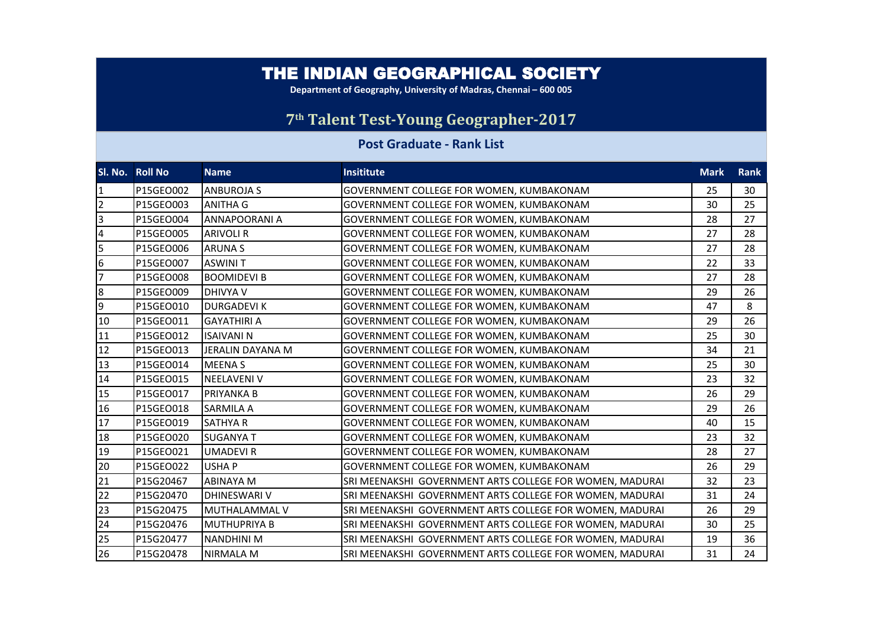## THE INDIAN GEOGRAPHICAL SOCIETY

**Department of Geography, University of Madras, Chennai - 600 005** 

## **th Talent Test-Young Geographer-2017**

| Sl. No.          | <b>Roll No</b> | <b>Name</b>             | <b>Insititute</b>                                        | <b>Mark</b> | <b>Rank</b> |
|------------------|----------------|-------------------------|----------------------------------------------------------|-------------|-------------|
| $\mathbf{1}$     | P15GEO002      | <b>ANBUROJA S</b>       | GOVERNMENT COLLEGE FOR WOMEN, KUMBAKONAM                 | 25          | 30          |
| $\overline{2}$   | P15GEO003      | <b>ANITHA G</b>         | GOVERNMENT COLLEGE FOR WOMEN, KUMBAKONAM                 | 30          | 25          |
| $\overline{3}$   | P15GEO004      | <b>ANNAPOORANI A</b>    | GOVERNMENT COLLEGE FOR WOMEN, KUMBAKONAM                 | 28          | 27          |
| $\overline{4}$   | P15GEO005      | <b>ARIVOLI R</b>        | GOVERNMENT COLLEGE FOR WOMEN, KUMBAKONAM                 | 27          | 28          |
| 5                | P15GEO006      | <b>ARUNAS</b>           | GOVERNMENT COLLEGE FOR WOMEN, KUMBAKONAM                 | 27          | 28          |
| 6                | P15GEO007      | <b>ASWINIT</b>          | GOVERNMENT COLLEGE FOR WOMEN, KUMBAKONAM                 | 22          | 33          |
| 7                | P15GEO008      | <b>BOOMIDEVI B</b>      | GOVERNMENT COLLEGE FOR WOMEN, KUMBAKONAM                 | 27          | 28          |
| $\boldsymbol{8}$ | P15GEO009      | <b>DHIVYA V</b>         | GOVERNMENT COLLEGE FOR WOMEN, KUMBAKONAM                 | 29          | 26          |
| $\overline{9}$   | P15GEO010      | <b>DURGADEVIK</b>       | GOVERNMENT COLLEGE FOR WOMEN, KUMBAKONAM                 | 47          | 8           |
| $10\,$           | P15GEO011      | <b>GAYATHIRI A</b>      | GOVERNMENT COLLEGE FOR WOMEN, KUMBAKONAM                 | 29          | 26          |
| 11               | P15GEO012      | <b>ISAIVANI N</b>       | GOVERNMENT COLLEGE FOR WOMEN, KUMBAKONAM                 | 25          | 30          |
| $12\,$           | P15GEO013      | <b>JERALIN DAYANA M</b> | GOVERNMENT COLLEGE FOR WOMEN, KUMBAKONAM                 | 34          | 21          |
| 13               | P15GEO014      | <b>MEENAS</b>           | GOVERNMENT COLLEGE FOR WOMEN, KUMBAKONAM                 | 25          | 30          |
| 14               | P15GEO015      | <b>NEELAVENI V</b>      | GOVERNMENT COLLEGE FOR WOMEN, KUMBAKONAM                 | 23          | 32          |
| 15               | P15GEO017      | <b>PRIYANKA B</b>       | GOVERNMENT COLLEGE FOR WOMEN, KUMBAKONAM                 | 26          | 29          |
| 16               | P15GEO018      | <b>SARMILA A</b>        | GOVERNMENT COLLEGE FOR WOMEN, KUMBAKONAM                 | 29          | 26          |
| 17               | P15GEO019      | <b>SATHYA R</b>         | GOVERNMENT COLLEGE FOR WOMEN, KUMBAKONAM                 | 40          | 15          |
| 18               | P15GEO020      | <b>SUGANYA T</b>        | GOVERNMENT COLLEGE FOR WOMEN, KUMBAKONAM                 | 23          | 32          |
| 19               | P15GEO021      | <b>UMADEVIR</b>         | GOVERNMENT COLLEGE FOR WOMEN, KUMBAKONAM                 | 28          | 27          |
| 20               | P15GEO022      | <b>USHAP</b>            | GOVERNMENT COLLEGE FOR WOMEN, KUMBAKONAM                 | 26          | 29          |
| 21               | P15G20467      | <b>ABINAYA M</b>        | SRI MEENAKSHI GOVERNMENT ARTS COLLEGE FOR WOMEN, MADURAI | 32          | 23          |
| 22               | P15G20470      | <b>DHINESWARI V</b>     | SRI MEENAKSHI GOVERNMENT ARTS COLLEGE FOR WOMEN, MADURAI | 31          | 24          |
| 23               | P15G20475      | MUTHALAMMAL V           | SRI MEENAKSHI GOVERNMENT ARTS COLLEGE FOR WOMEN, MADURAI | 26          | 29          |
| 24               | P15G20476      | <b>MUTHUPRIYA B</b>     | SRI MEENAKSHI GOVERNMENT ARTS COLLEGE FOR WOMEN, MADURAI | 30          | 25          |
| 25               | P15G20477      | <b>NANDHINI M</b>       | SRI MEENAKSHI GOVERNMENT ARTS COLLEGE FOR WOMEN, MADURAI | 19          | 36          |
| 26               | P15G20478      | <b>NIRMALA M</b>        | SRI MEENAKSHI GOVERNMENT ARTS COLLEGE FOR WOMEN, MADURAI | 31          | 24          |

**Post Graduate - Rank List**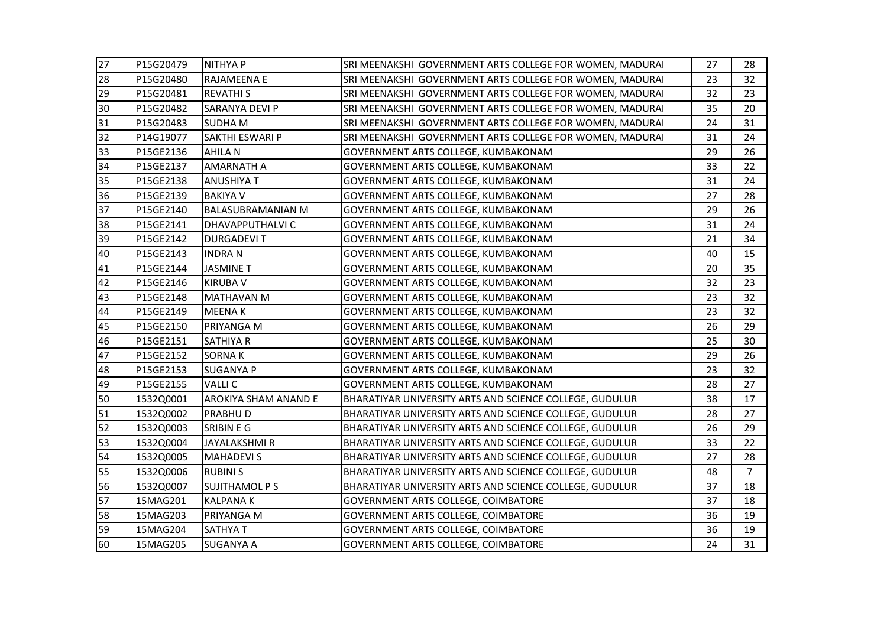| 27 | P15G20479 | <b>NITHYA P</b>             | SRI MEENAKSHI GOVERNMENT ARTS COLLEGE FOR WOMEN, MADURAI | 27 | 28             |
|----|-----------|-----------------------------|----------------------------------------------------------|----|----------------|
| 28 | P15G20480 | RAJAMEENA E                 | SRI MEENAKSHI GOVERNMENT ARTS COLLEGE FOR WOMEN, MADURAI | 23 | 32             |
| 29 | P15G20481 | <b>REVATHIS</b>             | SRI MEENAKSHI GOVERNMENT ARTS COLLEGE FOR WOMEN, MADURAI | 32 | 23             |
| 30 | P15G20482 | <b>SARANYA DEVI P</b>       | SRI MEENAKSHI GOVERNMENT ARTS COLLEGE FOR WOMEN, MADURAI | 35 | 20             |
| 31 | P15G20483 | <b>SUDHAM</b>               | SRI MEENAKSHI GOVERNMENT ARTS COLLEGE FOR WOMEN, MADURAI | 24 | 31             |
| 32 | P14G19077 | SAKTHI ESWARI P             | SRI MEENAKSHI GOVERNMENT ARTS COLLEGE FOR WOMEN, MADURAI | 31 | 24             |
| 33 | P15GE2136 | <b>AHILA N</b>              | GOVERNMENT ARTS COLLEGE, KUMBAKONAM                      | 29 | 26             |
| 34 | P15GE2137 | <b>AMARNATH A</b>           | GOVERNMENT ARTS COLLEGE, KUMBAKONAM                      | 33 | 22             |
| 35 | P15GE2138 | <b>ANUSHIYA T</b>           | GOVERNMENT ARTS COLLEGE, KUMBAKONAM                      | 31 | 24             |
| 36 | P15GE2139 | <b>BAKIYA V</b>             | GOVERNMENT ARTS COLLEGE, KUMBAKONAM                      | 27 | 28             |
| 37 | P15GE2140 | BALASUBRAMANIAN M           | GOVERNMENT ARTS COLLEGE, KUMBAKONAM                      | 29 | 26             |
| 38 | P15GE2141 | <b>DHAVAPPUTHALVI C</b>     | GOVERNMENT ARTS COLLEGE, KUMBAKONAM                      | 31 | 24             |
| 39 | P15GE2142 | <b>DURGADEVIT</b>           | GOVERNMENT ARTS COLLEGE, KUMBAKONAM                      | 21 | 34             |
| 40 | P15GE2143 | <b>INDRAN</b>               | GOVERNMENT ARTS COLLEGE, KUMBAKONAM                      | 40 | 15             |
| 41 | P15GE2144 | <b>JASMINE T</b>            | GOVERNMENT ARTS COLLEGE, KUMBAKONAM                      | 20 | 35             |
| 42 | P15GE2146 | <b>KIRUBA V</b>             | GOVERNMENT ARTS COLLEGE, KUMBAKONAM                      | 32 | 23             |
| 43 | P15GE2148 | <b>MATHAVAN M</b>           | GOVERNMENT ARTS COLLEGE, KUMBAKONAM                      | 23 | 32             |
| 44 | P15GE2149 | <b>MEENAK</b>               | GOVERNMENT ARTS COLLEGE, KUMBAKONAM                      | 23 | 32             |
| 45 | P15GE2150 | PRIYANGA M                  | GOVERNMENT ARTS COLLEGE, KUMBAKONAM                      | 26 | 29             |
| 46 | P15GE2151 | <b>SATHIYA R</b>            | GOVERNMENT ARTS COLLEGE, KUMBAKONAM                      | 25 | 30             |
| 47 | P15GE2152 | <b>SORNAK</b>               | GOVERNMENT ARTS COLLEGE, KUMBAKONAM                      | 29 | 26             |
| 48 | P15GE2153 | <b>SUGANYA P</b>            | GOVERNMENT ARTS COLLEGE, KUMBAKONAM                      | 23 | 32             |
| 49 | P15GE2155 | <b>VALLIC</b>               | GOVERNMENT ARTS COLLEGE, KUMBAKONAM                      | 28 | 27             |
| 50 | 1532Q0001 | <b>AROKIYA SHAM ANAND E</b> | BHARATIYAR UNIVERSITY ARTS AND SCIENCE COLLEGE, GUDULUR  | 38 | 17             |
| 51 | 1532Q0002 | PRABHU D                    | BHARATIYAR UNIVERSITY ARTS AND SCIENCE COLLEGE, GUDULUR  | 28 | 27             |
| 52 | 1532Q0003 | <b>SRIBIN E G</b>           | BHARATIYAR UNIVERSITY ARTS AND SCIENCE COLLEGE, GUDULUR  | 26 | 29             |
| 53 | 1532Q0004 | <b>JAYALAKSHMIR</b>         | BHARATIYAR UNIVERSITY ARTS AND SCIENCE COLLEGE, GUDULUR  | 33 | 22             |
| 54 | 1532Q0005 | <b>MAHADEVIS</b>            | BHARATIYAR UNIVERSITY ARTS AND SCIENCE COLLEGE, GUDULUR  | 27 | 28             |
| 55 | 1532Q0006 | <b>RUBINI S</b>             | BHARATIYAR UNIVERSITY ARTS AND SCIENCE COLLEGE, GUDULUR  | 48 | $\overline{7}$ |
| 56 | 1532Q0007 | <b>SUJITHAMOL PS</b>        | BHARATIYAR UNIVERSITY ARTS AND SCIENCE COLLEGE, GUDULUR  | 37 | 18             |
| 57 | 15MAG201  | <b>KALPANAK</b>             | GOVERNMENT ARTS COLLEGE, COIMBATORE                      | 37 | 18             |
| 58 | 15MAG203  | PRIYANGA M                  | GOVERNMENT ARTS COLLEGE, COIMBATORE                      | 36 | 19             |
| 59 | 15MAG204  | <b>SATHYAT</b>              | GOVERNMENT ARTS COLLEGE, COIMBATORE                      | 36 | 19             |
| 60 | 15MAG205  | <b>SUGANYA A</b>            | <b>GOVERNMENT ARTS COLLEGE, COIMBATORE</b>               | 24 | 31             |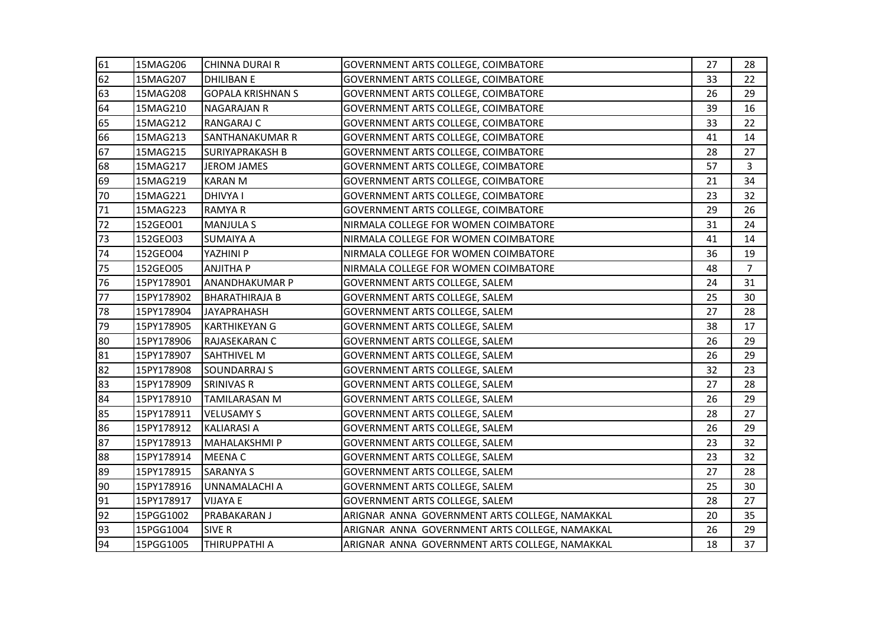| 61 | 15MAG206   | <b>CHINNA DURAI R</b>    | GOVERNMENT ARTS COLLEGE, COIMBATORE            | 27 | 28             |
|----|------------|--------------------------|------------------------------------------------|----|----------------|
| 62 | 15MAG207   | <b>DHILIBAN E</b>        | GOVERNMENT ARTS COLLEGE, COIMBATORE            | 33 | 22             |
| 63 | 15MAG208   | <b>GOPALA KRISHNAN S</b> | GOVERNMENT ARTS COLLEGE, COIMBATORE            | 26 | 29             |
| 64 | 15MAG210   | <b>NAGARAJAN R</b>       | GOVERNMENT ARTS COLLEGE, COIMBATORE            | 39 | 16             |
| 65 | 15MAG212   | RANGARAJ C               | GOVERNMENT ARTS COLLEGE, COIMBATORE            | 33 | 22             |
| 66 | 15MAG213   | SANTHANAKUMAR R          | GOVERNMENT ARTS COLLEGE, COIMBATORE            | 41 | 14             |
| 67 | 15MAG215   | <b>SURIYAPRAKASH B</b>   | GOVERNMENT ARTS COLLEGE, COIMBATORE            | 28 | 27             |
| 68 | 15MAG217   | <b>JEROM JAMES</b>       | GOVERNMENT ARTS COLLEGE, COIMBATORE            | 57 | $\overline{3}$ |
| 69 | 15MAG219   | <b>KARAN M</b>           | GOVERNMENT ARTS COLLEGE, COIMBATORE            | 21 | 34             |
| 70 | 15MAG221   | <b>DHIVYAI</b>           | GOVERNMENT ARTS COLLEGE, COIMBATORE            | 23 | 32             |
| 71 | 15MAG223   | <b>RAMYAR</b>            | GOVERNMENT ARTS COLLEGE, COIMBATORE            | 29 | 26             |
| 72 | 152GEO01   | <b>MANJULA S</b>         | NIRMALA COLLEGE FOR WOMEN COIMBATORE           | 31 | 24             |
| 73 | 152GEO03   | <b>SUMAIYA A</b>         | NIRMALA COLLEGE FOR WOMEN COIMBATORE           | 41 | 14             |
| 74 | 152GEO04   | YAZHINI P                | NIRMALA COLLEGE FOR WOMEN COIMBATORE           | 36 | 19             |
| 75 | 152GEO05   | <b>ANJITHA P</b>         | NIRMALA COLLEGE FOR WOMEN COIMBATORE           | 48 | $\overline{7}$ |
| 76 | 15PY178901 | <b>ANANDHAKUMAR P</b>    | GOVERNMENT ARTS COLLEGE, SALEM                 | 24 | 31             |
| 77 | 15PY178902 | <b>BHARATHIRAJA B</b>    | GOVERNMENT ARTS COLLEGE, SALEM                 | 25 | 30             |
| 78 | 15PY178904 | <b>JAYAPRAHASH</b>       | GOVERNMENT ARTS COLLEGE, SALEM                 | 27 | 28             |
| 79 | 15PY178905 | <b>KARTHIKEYAN G</b>     | GOVERNMENT ARTS COLLEGE, SALEM                 | 38 | 17             |
| 80 | 15PY178906 | RAJASEKARAN C            | GOVERNMENT ARTS COLLEGE, SALEM                 | 26 | 29             |
| 81 | 15PY178907 | <b>SAHTHIVEL M</b>       | GOVERNMENT ARTS COLLEGE, SALEM                 | 26 | 29             |
| 82 | 15PY178908 | <b>SOUNDARRAJ S</b>      | GOVERNMENT ARTS COLLEGE, SALEM                 | 32 | 23             |
| 83 | 15PY178909 | <b>SRINIVAS R</b>        | GOVERNMENT ARTS COLLEGE, SALEM                 | 27 | 28             |
| 84 | 15PY178910 | <b>TAMILARASAN M</b>     | GOVERNMENT ARTS COLLEGE, SALEM                 | 26 | 29             |
| 85 | 15PY178911 | <b>VELUSAMY S</b>        | GOVERNMENT ARTS COLLEGE, SALEM                 | 28 | 27             |
| 86 | 15PY178912 | <b>KALIARASI A</b>       | GOVERNMENT ARTS COLLEGE, SALEM                 | 26 | 29             |
| 87 | 15PY178913 | <b>MAHALAKSHMI P</b>     | GOVERNMENT ARTS COLLEGE, SALEM                 | 23 | 32             |
| 88 | 15PY178914 | <b>MEENA C</b>           | GOVERNMENT ARTS COLLEGE, SALEM                 | 23 | 32             |
| 89 | 15PY178915 | <b>SARANYA S</b>         | GOVERNMENT ARTS COLLEGE, SALEM                 | 27 | 28             |
| 90 | 15PY178916 | <b>UNNAMALACHI A</b>     | GOVERNMENT ARTS COLLEGE, SALEM                 | 25 | 30             |
| 91 | 15PY178917 | <b>VIJAYA E</b>          | GOVERNMENT ARTS COLLEGE, SALEM                 | 28 | 27             |
| 92 | 15PGG1002  | PRABAKARAN J             | ARIGNAR ANNA GOVERNMENT ARTS COLLEGE, NAMAKKAL | 20 | 35             |
| 93 | 15PGG1004  | SIVE R                   | ARIGNAR ANNA GOVERNMENT ARTS COLLEGE, NAMAKKAL | 26 | 29             |
| 94 | 15PGG1005  | <b>THIRUPPATHI A</b>     | ARIGNAR ANNA GOVERNMENT ARTS COLLEGE, NAMAKKAL | 18 | 37             |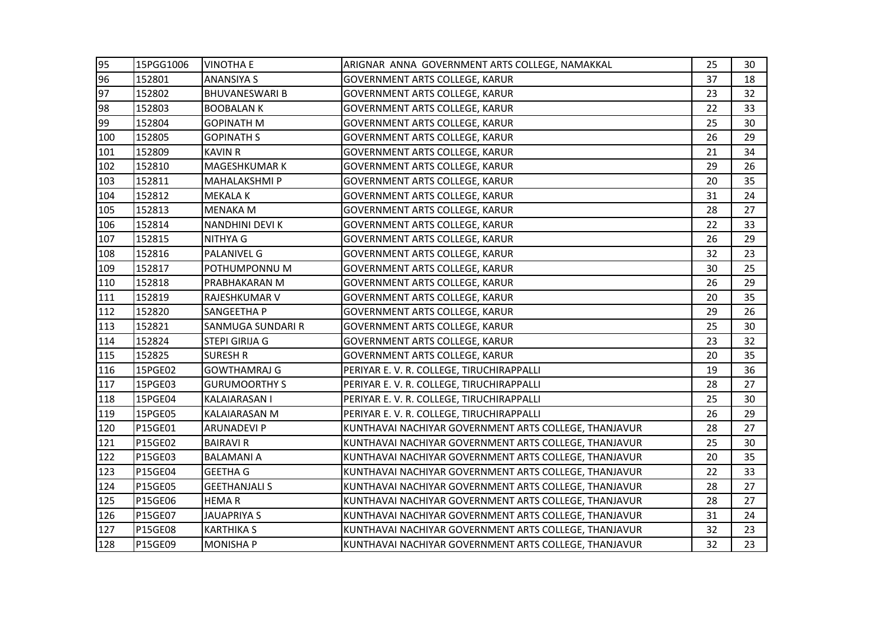| 95  | 15PGG1006 | <b>VINOTHA E</b>      | ARIGNAR ANNA GOVERNMENT ARTS COLLEGE, NAMAKKAL        | 25 | 30 |
|-----|-----------|-----------------------|-------------------------------------------------------|----|----|
| 96  | 152801    | <b>ANANSIYA S</b>     | GOVERNMENT ARTS COLLEGE, KARUR                        | 37 | 18 |
| 97  | 152802    | <b>BHUVANESWARI B</b> | GOVERNMENT ARTS COLLEGE, KARUR                        | 23 | 32 |
| 98  | 152803    | <b>BOOBALAN K</b>     | GOVERNMENT ARTS COLLEGE, KARUR                        | 22 | 33 |
| 99  | 152804    | <b>GOPINATH M</b>     | GOVERNMENT ARTS COLLEGE, KARUR                        | 25 | 30 |
| 100 | 152805    | <b>GOPINATH S</b>     | GOVERNMENT ARTS COLLEGE, KARUR                        | 26 | 29 |
| 101 | 152809    | <b>KAVIN R</b>        | GOVERNMENT ARTS COLLEGE, KARUR                        | 21 | 34 |
| 102 | 152810    | <b>MAGESHKUMAR K</b>  | GOVERNMENT ARTS COLLEGE, KARUR                        | 29 | 26 |
| 103 | 152811    | <b>MAHALAKSHMI P</b>  | GOVERNMENT ARTS COLLEGE, KARUR                        | 20 | 35 |
| 104 | 152812    | <b>MEKALA K</b>       | GOVERNMENT ARTS COLLEGE, KARUR                        | 31 | 24 |
| 105 | 152813    | MENAKA M              | GOVERNMENT ARTS COLLEGE, KARUR                        | 28 | 27 |
| 106 | 152814    | NANDHINI DEVI K       | GOVERNMENT ARTS COLLEGE, KARUR                        | 22 | 33 |
| 107 | 152815    | NITHYA G              | GOVERNMENT ARTS COLLEGE, KARUR                        | 26 | 29 |
| 108 | 152816    | PALANIVEL G           | GOVERNMENT ARTS COLLEGE, KARUR                        | 32 | 23 |
| 109 | 152817    | POTHUMPONNU M         | <b>GOVERNMENT ARTS COLLEGE, KARUR</b>                 | 30 | 25 |
| 110 | 152818    | PRABHAKARAN M         | GOVERNMENT ARTS COLLEGE, KARUR                        | 26 | 29 |
| 111 | 152819    | RAJESHKUMAR V         | GOVERNMENT ARTS COLLEGE, KARUR                        | 20 | 35 |
| 112 | 152820    | <b>SANGEETHA P</b>    | GOVERNMENT ARTS COLLEGE, KARUR                        | 29 | 26 |
| 113 | 152821    | SANMUGA SUNDARI R     | GOVERNMENT ARTS COLLEGE, KARUR                        | 25 | 30 |
| 114 | 152824    | <b>STEPI GIRIJA G</b> | GOVERNMENT ARTS COLLEGE, KARUR                        | 23 | 32 |
| 115 | 152825    | <b>SURESH R</b>       | GOVERNMENT ARTS COLLEGE, KARUR                        | 20 | 35 |
| 116 | 15PGE02   | <b>GOWTHAMRAJ G</b>   | PERIYAR E. V. R. COLLEGE, TIRUCHIRAPPALLI             | 19 | 36 |
| 117 | 15PGE03   | <b>GURUMOORTHY S</b>  | PERIYAR E. V. R. COLLEGE, TIRUCHIRAPPALLI             | 28 | 27 |
| 118 | 15PGE04   | <b>KALAIARASAN I</b>  | PERIYAR E. V. R. COLLEGE, TIRUCHIRAPPALLI             | 25 | 30 |
| 119 | 15PGE05   | KALAIARASAN M         | PERIYAR E. V. R. COLLEGE, TIRUCHIRAPPALLI             | 26 | 29 |
| 120 | P15GE01   | <b>ARUNADEVI P</b>    | KUNTHAVAI NACHIYAR GOVERNMENT ARTS COLLEGE, THANJAVUR | 28 | 27 |
| 121 | P15GE02   | <b>BAIRAVI R</b>      | KUNTHAVAI NACHIYAR GOVERNMENT ARTS COLLEGE, THANJAVUR | 25 | 30 |
| 122 | P15GE03   | <b>BALAMANI A</b>     | KUNTHAVAI NACHIYAR GOVERNMENT ARTS COLLEGE, THANJAVUR | 20 | 35 |
| 123 | P15GE04   | <b>GEETHA G</b>       | KUNTHAVAI NACHIYAR GOVERNMENT ARTS COLLEGE, THANJAVUR | 22 | 33 |
| 124 | P15GE05   | <b>GEETHANJALI S</b>  | KUNTHAVAI NACHIYAR GOVERNMENT ARTS COLLEGE, THANJAVUR | 28 | 27 |
| 125 | P15GE06   | <b>HEMAR</b>          | KUNTHAVAI NACHIYAR GOVERNMENT ARTS COLLEGE, THANJAVUR | 28 | 27 |
| 126 | P15GE07   | <b>JAUAPRIYA S</b>    | KUNTHAVAI NACHIYAR GOVERNMENT ARTS COLLEGE, THANJAVUR | 31 | 24 |
| 127 | P15GE08   | <b>KARTHIKA S</b>     | KUNTHAVAI NACHIYAR GOVERNMENT ARTS COLLEGE, THANJAVUR | 32 | 23 |
| 128 | P15GE09   | <b>MONISHAP</b>       | KUNTHAVAI NACHIYAR GOVERNMENT ARTS COLLEGE, THANJAVUR | 32 | 23 |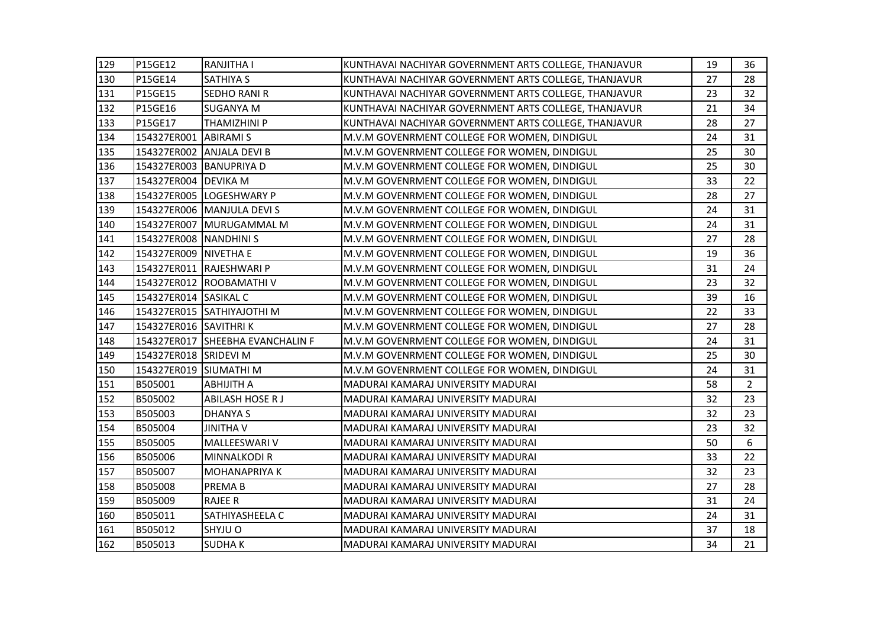| 129 | P15GE12                | <b>RANJITHA I</b>                | KUNTHAVAI NACHIYAR GOVERNMENT ARTS COLLEGE, THANJAVUR | 19 | 36          |
|-----|------------------------|----------------------------------|-------------------------------------------------------|----|-------------|
| 130 | P15GE14                | <b>SATHIYA S</b>                 | KUNTHAVAI NACHIYAR GOVERNMENT ARTS COLLEGE, THANJAVUR | 27 | 28          |
| 131 | P15GE15                | <b>SEDHO RANI R</b>              | KUNTHAVAI NACHIYAR GOVERNMENT ARTS COLLEGE, THANJAVUR | 23 | 32          |
| 132 | P15GE16                | <b>SUGANYA M</b>                 | KUNTHAVAI NACHIYAR GOVERNMENT ARTS COLLEGE, THANJAVUR | 21 | 34          |
| 133 | P15GE17                | THAMIZHINI P                     | KUNTHAVAI NACHIYAR GOVERNMENT ARTS COLLEGE, THANJAVUR | 28 | 27          |
| 134 | 154327ER001 ABIRAMIS   |                                  | M.V.M GOVENRMENT COLLEGE FOR WOMEN, DINDIGUL          | 24 | 31          |
| 135 |                        | 154327ER002 ANJALA DEVI B        | M.V.M GOVENRMENT COLLEGE FOR WOMEN, DINDIGUL          | 25 | 30          |
| 136 |                        | 154327ER003 BANUPRIYA D          | M.V.M GOVENRMENT COLLEGE FOR WOMEN, DINDIGUL          | 25 | 30          |
| 137 | 154327ER004 DEVIKA M   |                                  | M.V.M GOVENRMENT COLLEGE FOR WOMEN, DINDIGUL          | 33 | 22          |
| 138 |                        | 154327ER005 LOGESHWARY P         | M.V.M GOVENRMENT COLLEGE FOR WOMEN, DINDIGUL          | 28 | 27          |
| 139 |                        | 154327ER006 MANJULA DEVI S       | M.V.M GOVENRMENT COLLEGE FOR WOMEN, DINDIGUL          | 24 | 31          |
| 140 |                        | 154327ER007 MURUGAMMAL M         | M.V.M GOVENRMENT COLLEGE FOR WOMEN, DINDIGUL          | 24 | 31          |
| 141 | 154327ER008 NANDHINI S |                                  | M.V.M GOVENRMENT COLLEGE FOR WOMEN, DINDIGUL          | 27 | 28          |
| 142 | 154327ER009 NIVETHA E  |                                  | M.V.M GOVENRMENT COLLEGE FOR WOMEN, DINDIGUL          | 19 | 36          |
| 143 |                        | 154327ER011 RAJESHWARI P         | M.V.M GOVENRMENT COLLEGE FOR WOMEN, DINDIGUL          | 31 | 24          |
| 144 |                        | 154327ER012 ROOBAMATHIV          | M.V.M GOVENRMENT COLLEGE FOR WOMEN, DINDIGUL          | 23 | 32          |
| 145 | 154327ER014 SASIKAL C  |                                  | M.V.M GOVENRMENT COLLEGE FOR WOMEN, DINDIGUL          | 39 | 16          |
| 146 |                        | 154327ER015 SATHIYAJOTHI M       | M.V.M GOVENRMENT COLLEGE FOR WOMEN, DINDIGUL          | 22 | 33          |
| 147 | 154327ER016 SAVITHRI K |                                  | M.V.M GOVENRMENT COLLEGE FOR WOMEN, DINDIGUL          | 27 | 28          |
| 148 |                        | 154327ER017 SHEEBHA EVANCHALIN F | M.V.M GOVENRMENT COLLEGE FOR WOMEN, DINDIGUL          | 24 | 31          |
| 149 | 154327ER018 SRIDEVI M  |                                  | M.V.M GOVENRMENT COLLEGE FOR WOMEN, DINDIGUL          | 25 | 30          |
| 150 | 154327ER019 SIUMATHI M |                                  | M.V.M GOVENRMENT COLLEGE FOR WOMEN, DINDIGUL          | 24 | 31          |
| 151 | B505001                | <b>ABHIJITH A</b>                | MADURAI KAMARAJ UNIVERSITY MADURAI                    | 58 | $2^{\circ}$ |
| 152 | B505002                | <b>ABILASH HOSE RJ</b>           | MADURAI KAMARAJ UNIVERSITY MADURAI                    | 32 | 23          |
| 153 | B505003                | <b>DHANYA S</b>                  | MADURAI KAMARAJ UNIVERSITY MADURAI                    | 32 | 23          |
| 154 | B505004                | <b>JINITHAV</b>                  | MADURAI KAMARAJ UNIVERSITY MADURAI                    | 23 | 32          |
| 155 | B505005                | MALLEESWARI V                    | MADURAI KAMARAJ UNIVERSITY MADURAI                    | 50 | 6           |
| 156 | B505006                | <b>MINNALKODI R</b>              | MADURAI KAMARAJ UNIVERSITY MADURAI                    | 33 | 22          |
| 157 | B505007                | <b>MOHANAPRIYA K</b>             | MADURAI KAMARAJ UNIVERSITY MADURAI                    | 32 | 23          |
| 158 | B505008                | PREMA B                          | MADURAI KAMARAJ UNIVERSITY MADURAI                    | 27 | 28          |
| 159 | B505009                | RAJEE R                          | MADURAI KAMARAJ UNIVERSITY MADURAI                    | 31 | 24          |
| 160 | B505011                | SATHIYASHEELA C                  | MADURAI KAMARAJ UNIVERSITY MADURAI                    | 24 | 31          |
| 161 | B505012                | SHYJU O                          | MADURAI KAMARAJ UNIVERSITY MADURAI                    | 37 | 18          |
| 162 | B505013                | <b>SUDHAK</b>                    | MADURAI KAMARAJ UNIVERSITY MADURAI                    | 34 | 21          |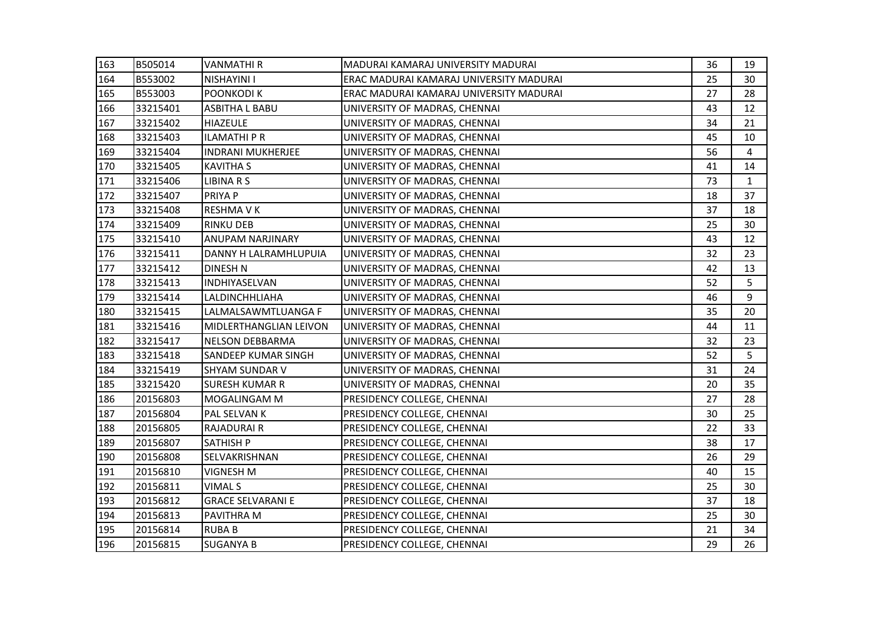| 163 | B505014  | <b>VANMATHIR</b>              | MADURAI KAMARAJ UNIVERSITY MADURAI      | 36 | 19           |
|-----|----------|-------------------------------|-----------------------------------------|----|--------------|
| 164 | B553002  | NISHAYINI I                   | ERAC MADURAI KAMARAJ UNIVERSITY MADURAI | 25 | 30           |
| 165 | B553003  | POONKODI K                    | ERAC MADURAI KAMARAJ UNIVERSITY MADURAI | 27 | 28           |
| 166 | 33215401 | <b>ASBITHA L BABU</b>         | UNIVERSITY OF MADRAS, CHENNAI           | 43 | 12           |
| 167 | 33215402 | HIAZEULE                      | UNIVERSITY OF MADRAS, CHENNAI           | 34 | 21           |
| 168 | 33215403 | <b>ILAMATHI P R</b>           | UNIVERSITY OF MADRAS, CHENNAI           | 45 | 10           |
| 169 | 33215404 | <b>INDRANI MUKHERJEE</b>      | UNIVERSITY OF MADRAS, CHENNAI           | 56 | 4            |
| 170 | 33215405 | <b>KAVITHA S</b>              | UNIVERSITY OF MADRAS, CHENNAI           | 41 | 14           |
| 171 | 33215406 | <b>LIBINARS</b>               | UNIVERSITY OF MADRAS, CHENNAI           | 73 | $\mathbf{1}$ |
| 172 | 33215407 | PRIYA P                       | UNIVERSITY OF MADRAS, CHENNAI           | 18 | 37           |
| 173 | 33215408 | RESHMA V K                    | UNIVERSITY OF MADRAS, CHENNAI           | 37 | 18           |
| 174 | 33215409 | <b>RINKU DEB</b>              | UNIVERSITY OF MADRAS, CHENNAI           | 25 | 30           |
| 175 | 33215410 | <b>ANUPAM NARJINARY</b>       | UNIVERSITY OF MADRAS, CHENNAI           | 43 | 12           |
| 176 | 33215411 | DANNY H LALRAMHLUPUIA         | UNIVERSITY OF MADRAS, CHENNAI           | 32 | 23           |
| 177 | 33215412 | <b>DINESH N</b>               | UNIVERSITY OF MADRAS, CHENNAI           | 42 | 13           |
| 178 | 33215413 | INDHIYASELVAN                 | UNIVERSITY OF MADRAS, CHENNAI           | 52 | 5            |
| 179 | 33215414 | LALDINCHHLIAHA                | UNIVERSITY OF MADRAS, CHENNAI           | 46 | 9            |
| 180 | 33215415 | LALMALSAWMTLUANGA F           | UNIVERSITY OF MADRAS, CHENNAI           | 35 | 20           |
| 181 | 33215416 | <b>MIDLERTHANGLIAN LEIVON</b> | UNIVERSITY OF MADRAS, CHENNAI           | 44 | 11           |
| 182 | 33215417 | <b>NELSON DEBBARMA</b>        | UNIVERSITY OF MADRAS, CHENNAI           | 32 | 23           |
| 183 | 33215418 | SANDEEP KUMAR SINGH           | UNIVERSITY OF MADRAS, CHENNAI           | 52 | 5            |
| 184 | 33215419 | <b>SHYAM SUNDAR V</b>         | UNIVERSITY OF MADRAS, CHENNAI           | 31 | 24           |
| 185 | 33215420 | <b>SURESH KUMAR R</b>         | UNIVERSITY OF MADRAS, CHENNAI           | 20 | 35           |
| 186 | 20156803 | MOGALINGAM M                  | PRESIDENCY COLLEGE, CHENNAI             | 27 | 28           |
| 187 | 20156804 | PAL SELVAN K                  | PRESIDENCY COLLEGE, CHENNAI             | 30 | 25           |
| 188 | 20156805 | RAJADURAI R                   | PRESIDENCY COLLEGE, CHENNAI             | 22 | 33           |
| 189 | 20156807 | <b>SATHISH P</b>              | PRESIDENCY COLLEGE, CHENNAI             | 38 | 17           |
| 190 | 20156808 | SELVAKRISHNAN                 | PRESIDENCY COLLEGE, CHENNAI             | 26 | 29           |
| 191 | 20156810 | <b>VIGNESH M</b>              | PRESIDENCY COLLEGE, CHENNAI             | 40 | 15           |
| 192 | 20156811 | <b>VIMAL S</b>                | PRESIDENCY COLLEGE, CHENNAI             | 25 | 30           |
| 193 | 20156812 | <b>GRACE SELVARANI E</b>      | PRESIDENCY COLLEGE, CHENNAI             | 37 | 18           |
| 194 | 20156813 | PAVITHRA M                    | PRESIDENCY COLLEGE, CHENNAI             | 25 | 30           |
| 195 | 20156814 | <b>RUBA B</b>                 | PRESIDENCY COLLEGE, CHENNAI             | 21 | 34           |
| 196 | 20156815 | <b>SUGANYA B</b>              | PRESIDENCY COLLEGE, CHENNAI             | 29 | 26           |